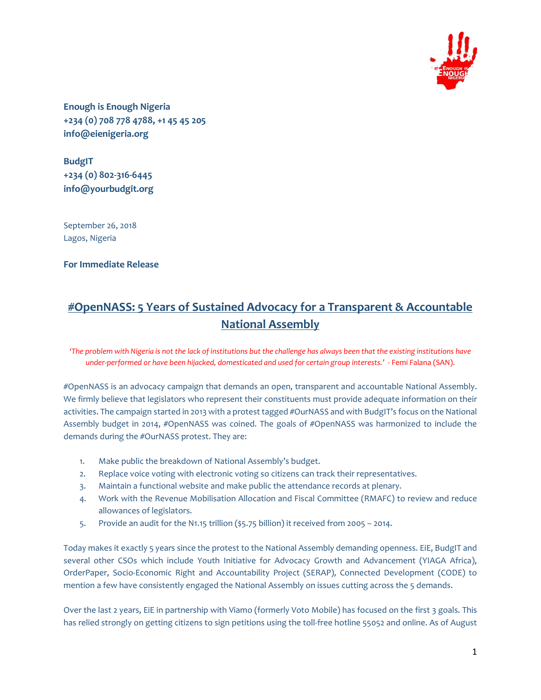

**Enough is Enough Nigeria +234 (0) 708 778 4788, +1 45 45 205 info@eienigeria.org**

**BudgIT +234 (0) 802-316-6445 info@yourbudgit.org**

September 26, 2018 Lagos, Nigeria

**For Immediate Release**

# **#OpenNASS: 5 Years of Sustained Advocacy for a Transparent & Accountable National Assembly**

'The problem with Nigeria is not the lack of institutions but the challenge has always been that the existing institutions have *under-performed or have been hijacked, domesticated and used for certain group interests.'*- Femi Falana (SAN).

#OpenNASS is an advocacy campaign that demands an open, transparent and accountable National Assembly. We firmly believe that legislators who represent their constituents must provide adequate information on their activities. The campaign started in 2013 with a protest tagged #OurNASS and with BudgIT's focus on the National Assembly budget in 2014, #OpenNASS was coined. The goals of #OpenNASS was harmonized to include the demands during the #OurNASS protest. They are:

- 1. Make public the breakdown of National Assembly's budget.
- 2. Replace voice voting with electronic voting so citizens can track their representatives.
- 3. Maintain a functional website and make public the attendance records at plenary.
- 4. Work with the Revenue Mobilisation Allocation and Fiscal Committee (RMAFC) to review and reduce allowances of legislators.
- 5. Provide an audit for the N1.15 trillion (\$5.75 billion) it received from 2005 2014.

Today makes it exactly 5 years since the protest to the National Assembly demanding openness. EiE, BudgIT and several other CSOs which include Youth Initiative for Advocacy Growth and Advancement (YIAGA Africa), OrderPaper, Socio-Economic Right and Accountability Project (SERAP), Connected Development (CODE) to mention a few have consistently engaged the National Assembly on issues cutting across the 5 demands.

Over the last 2 years, EiE in partnership with Viamo (formerly Voto Mobile) has focused on the first 3 goals. This has relied strongly on getting citizens to sign petitions using the toll-free hotline 55052 and online. As of August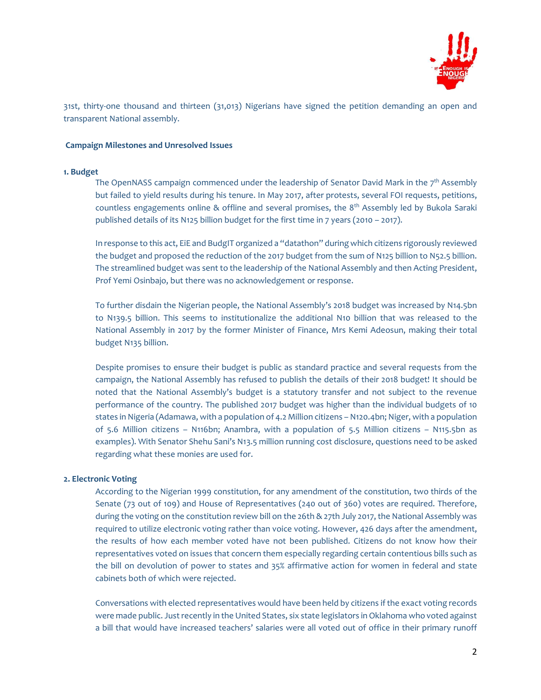

31st, thirty-one thousand and thirteen (31,013) Nigerians have signed the petition demanding an open and transparent National assembly.

## **Campaign Milestones and Unresolved Issues**

#### **1. Budget**

The OpenNASS campaign commenced under the leadership of Senator David Mark in the  $7^{\rm th}$  Assembly but failed to yield results during his tenure. In May 2017, after protests, several FOI requests, petitions, countless engagements online & offline and several promises, the 8<sup>th</sup> Assembly led by Bukola Saraki published details of its N125 billion budget for the first time in 7 years (2010 – 2017).

In response to this act, EiE and BudgIT organized a "datathon" during which citizens rigorously reviewed the budget and proposed the reduction of the 2017 budget from the sum of N125 billion to N52.5 billion. The streamlined budget was sent to the leadership of the National Assembly and then Acting President, Prof Yemi Osinbajo, but there was no acknowledgement or response.

To further disdain the Nigerian people, the National Assembly's 2018 budget was increased by N14.5bn to N139.5 billion. This seems to institutionalize the additional N10 billion that was released to the National Assembly in 2017 by the former Minister of Finance, Mrs Kemi Adeosun, making their total budget N135 billion.

Despite promises to ensure their budget is public as standard practice and several requests from the campaign, the National Assembly has refused to publish the details of their 2018 budget! It should be noted that the National Assembly's budget is a statutory transfer and not subject to the revenue performance of the country. The published 2017 budget was higher than the individual budgets of 10 states in Nigeria (Adamawa, with a population of 4.2 Million citizens – N120.4bn; Niger, with a population of 5.6 Million citizens – N116bn; Anambra, with a population of 5.5 Million citizens – N115.5bn as examples). With Senator Shehu Sani's N13.5 million running cost disclosure, questions need to be asked regarding what these monies are used for.

### **2. Electronic Voting**

According to the Nigerian 1999 constitution, for any amendment of the constitution, two thirds of the Senate (73 out of 109) and House of Representatives (240 out of 360) votes are required. Therefore, during the voting on the constitution review bill on the 26th & 27th July 2017, the National Assembly was required to utilize electronic voting rather than voice voting. However, 426 days after the amendment, the results of how each member voted have not been published. Citizens do not know how their representatives voted on issues that concern them especially regarding certain contentious bills such as the bill on devolution of power to states and 35% affirmative action for women in federal and state cabinets both of which were rejected.

Conversations with elected representatives would have been held by citizens ifthe exact voting records were made public. Just recently in the United States, six state legislators in Oklahoma who voted against a bill that would have increased teachers' salaries were all voted out of office in their primary runoff